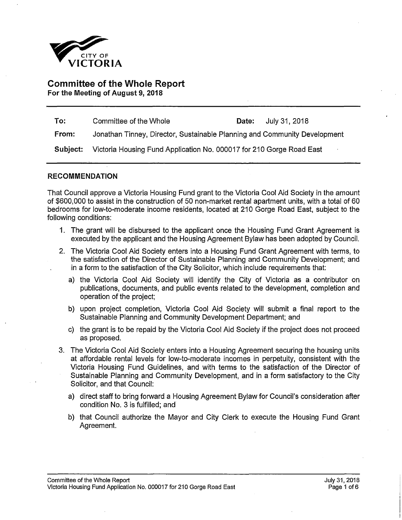

# **Committee of the Whole Report For the Meeting of August 9, 2018**

| To:      | Committee of the Whole                                                    | Date: | July 31, 2018 |  |  |
|----------|---------------------------------------------------------------------------|-------|---------------|--|--|
| From:    | Jonathan Tinney, Director, Sustainable Planning and Community Development |       |               |  |  |
| Subject: | Victoria Housing Fund Application No. 000017 for 210 Gorge Road East      |       |               |  |  |

### **RECOMMENDATION**

That Council approve a Victoria Housing Fund grant to the Victoria Cool Aid Society in the amount of \$600,000 to assist in the construction of 50 non-market rental apartment units, with a total of 60 bedrooms for low-to-moderate income residents, located at 210 Gorge Road East, subject to the following conditions:

- 1. The grant will be disbursed to the applicant once the Housing Fund Grant Agreement is executed by the applicant and the Housing Agreement Bylaw has been adopted by Council.
- 2. The Victoria Cool Aid Society enters into a Housing Fund Grant Agreement with terms, to the satisfaction of the Director of Sustainable Planning and Community Development; and . in a form to the satisfaction of the City Solicitor, which include requirements that:
	- a) the Victoria Cool Aid Society will identify the City of Victoria as a contributor on publications, documents, and public events related to the development, completion and operation of the project;
	- b) upon project completion, Victoria Cool Aid Society will submit a final report to the Sustainable Planning and Community Development Department; and
	- c) the grant is to be repaid by the Victoria Cool Aid Society if the project does not proceed as proposed.
- 3. The Victoria Cool Aid Society enters into a Housing Agreement securing the housing units at affordable rental levels for low-to-moderate incomes in perpetuity, consistent with the Victoria Housing Fund Guidelines, and with terms to the satisfaction of the Director of Sustainable Planning and Community Development, and in a form satisfactory to the City Solicitor, and that Council:
	- a) direct staff to bring forward a Housing Agreement Bylaw for Council's consideration after condition No. 3 is fulfilled; and
	- b) that Council authorize the Mayor and City Clerk to execute the Housing Fund Grant Agreement.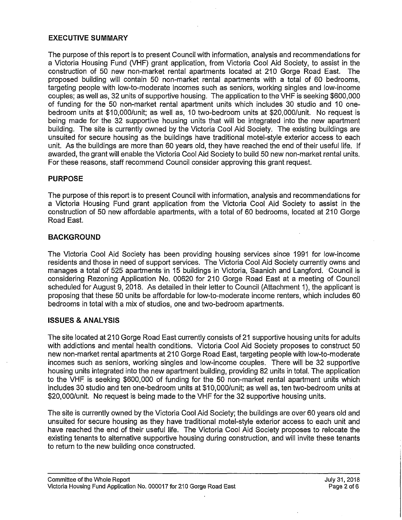# **EXECUTIVE SUMMARY**

The purpose of this report is to present Council with information, analysis and recommendations for a Victoria Housing Fund (VHF) grant application, from Victoria Cool Aid Society, to assist in the construction of 50 new non-market rental apartments located at 210 Gorge Road East. The proposed building will contain 50 non-market rental apartments with a total of 60 bedrooms, targeting people with low-to-moderate incomes such as seniors, working singles and low-income couples; as well as, 32 units of supportive housing. The application to the VHF is seeking \$600,000 of funding for the 50 non-market rental apartment units which includes 30 studio and 10 onebedroom units at \$10,000/unit; as well as, 10 two-bedroom units at \$20,000/unit. No request is being made for the 32 supportive housing units that will be integrated into the new apartment building. The site is currently owned by the Victoria Cool Aid Society. The existing buildings are unsuited for secure housing as the buildings have traditional motel-style exterior access to each unit. As the buildings are more than 60 years old, they have reached the end of their useful life. If awarded, the grant will enable the Victoria Cool Aid Society to build 50 new non-market rental units. For these reasons, staff recommend Council consider approving this grant request.

# **PURPOSE**

The purpose of this report is to present Council with information, analysis and recommendations for a Victoria Housing Fund grant application from the Victoria Cool Aid Society to assist in the construction of 50 new affordable apartments, with a total of 60 bedrooms, located at 210 Gorge Road East.

# **BACKGROUND**

The Victoria Cool Aid Society has been providing housing services since 1991 for low-income residents and those in need of support services. The Victoria Cool Aid Society currently owns and manages a total of 525 apartments in 15 buildings in Victoria, Saanich and Langford. Council is considering Rezoning Application No. 00620 for 210 Gorge Road East at a meeting of Council scheduled for August 9, 2018. As detailed in their letter to Council (Attachment 1), the applicant is proposing that these 50 units be affordable for low-to-moderate income renters, which includes 60 bedrooms in total with a mix of studios, one and two-bedroom apartments.

# **ISSUES & ANALYSIS**

The site located at 210 Gorge Road East currently consists of 21 supportive housing units for adults with addictions and mental health conditions. Victoria Cool Aid Society proposes to construct 50 new non-market rental apartments at 210 Gorge Road East, targeting people with low-to-moderate incomes such as seniors, working singles and low-income couples. There will be 32 supportive housing units integrated into the new apartment building, providing 82 units in total. The application to the VHF is seeking \$600,000 of funding for the 50 non-market rental apartment units which includes 30 studio and ten one-bedroom units at \$10,000/unit; as well as, ten two-bedroom units at \$20,000/unit. No request is being made to the VHF for the 32 supportive housing units.

The site is currently owned by the Victoria Cool Aid Society; the buildings are over 60 years old and unsuited for secure housing as they have traditional motel-style exterior access to each unit and have reached the end of their useful life. The Victoria Cool Aid Society proposes to relocate the existing tenants to alternative supportive housing during construction, and will invite these tenants to return to the new building once constructed.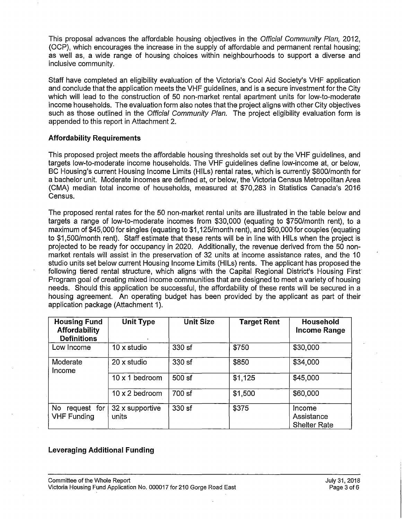This proposal advances the affordable housing objectives in the *Official Community Plan,* 2012, (OCP), which encourages the increase in the supply of affordable and permanent rental housing; as well as, a wide range of housing choices within neighbourhoods to support a diverse and inclusive community.

Staff have completed an eligibility evaluation of the Victoria's Cool Aid Society's VHF application and conclude that the application meets the VHF guidelines, and is a secure investment for the City which will lead to the construction of 50 non-market rental apartment units for low-to-moderate income households. The evaluation form also notes that the project aligns with other City objectives such as those outlined in the *Official Community Plan.* The project eligibility evaluation form is appended to this report in Attachment 2.

### **Affordability Requirements**

This proposed project meets the affordable housing thresholds set out by the VHF guidelines, and targets low-to-moderate income households. The VHF guidelines define low-income at, or below, BC Housing's current Housing Income Limits (HILs) rental rates, which is currently \$800/month for a bachelor unit. Moderate incomes are defined at, or below, the Victoria Census Metropolitan Area (CMA) median total income of households, measured at \$70,283 in Statistics Canada's 2016 Census.

The proposed rental rates for the 50 non-market rental units are illustrated in the table below and targets a range of low-to-moderate incomes from \$30,000 (equating to \$750/month rent), to a maximum of \$45,000 for singles (equating to \$1,125/month rent), and \$60,000 for couples (equating to \$1,500/month rent). Staff estimate that these rents will be in line with HILs when the project is projected to be ready for occupancy in 2020. Additionally, the revenue derived from the 50 nonmarket rentals will assist in the preservation of 32 units at income assistance rates, and the 10 studio units set below current Housing Income Limits (HILs) rents. The applicant has proposed the following tiered rental structure, which aligns with the Capital Regional District's Housing First Program goal of creating mixed income communities that are designed to meet a variety of housing needs. Should this application be successful, the affordability of these rents will be secured in a housing agreement. An operating budget has been provided by the applicant as part of their application package (Attachment 1).

| <b>Housing Fund</b><br><b>Affordability</b><br><b>Definitions</b> | <b>Unit Type</b>         | <b>Unit Size</b> | <b>Target Rent</b> | Household<br>Income Range                   |
|-------------------------------------------------------------------|--------------------------|------------------|--------------------|---------------------------------------------|
| Low Income                                                        | 10 x studio              | 330 sf           | \$750              | \$30,000                                    |
| Moderate<br>Income                                                | 20 x studio              | 330 sf           | \$850              | \$34,000                                    |
|                                                                   | 10 x 1 bedroom           | 500 sf           | \$1,125            | \$45,000                                    |
|                                                                   | 10 x 2 bedroom           | 700 sf           | \$1,500            | \$60,000                                    |
| No<br>request for<br><b>VHF Funding</b>                           | 32 x supportive<br>units | 330 sf           | \$375              | Income<br>Assistance<br><b>Shelter Rate</b> |

# **Leveraging Additional Funding**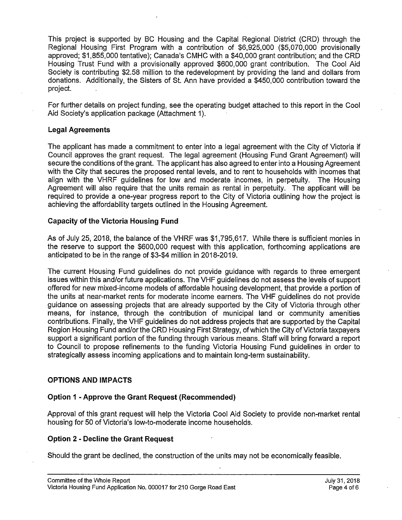This project is supported by BC Housing and the Capital Regional District (CRD) through the Regional Housing First Program with a contribution of \$6,925,000 (\$5,070,000 provisionally approved; \$1,855,000 tentative); Canada's CMHC with a \$40,000 grant contribution; and the CRD Housing Trust Fund with a provisionally approved \$600,000 grant contribution. The Cool Aid Society is contributing \$2.58 million to the redevelopment by providing the land and dollars from donations. Additionally, the Sisters of St. Ann have provided a \$450,000 contribution toward the project. .

For further details on project funding, see the operating budget attached to this report in the Cool Aid Society's application package (Attachment 1).

### **Legal Agreements**

The applicant has made a commitment to enter into a legal agreement with the City of Victoria if Council approves the grant request. The legal agreement (Housing Fund Grant Agreement) will secure the conditions of the grant. The applicant has also agreed to enter into a Housing Agreement with the City that secures the proposed rental levels, and to rent to households with incomes that align with the VHRF guidelines for low and moderate incomes, in perpetuity. The Housing Agreement will also require that the units remain as rental in perpetuity. The applicant will be required to provide a one-year progress report to the City of Victoria outlining how the project is achieving the affordability targets outlined in the Housing Agreement.

### **Capacity of the Victoria Housing Fund**

As of July 25, 2018, the balance of the VHRF was \$1,795,617. While there is sufficient monies in the reserve to support the \$600,000 request with this application, forthcoming applications are anticipated to be in the range of \$3-\$4 million in 2018-2019.

The current Housing Fund guidelines do not provide guidance with regards to three emergent issues within this and/or future applications. The VHF guidelines do not assess the levels of support offered for new mixed-income models of affordable housing development, that provide a portion of the units at near-market rents for moderate income earners. The VHF guidelines do not provide guidance on assessing projects that are already supported by the City of Victoria through other means, for instance, through the contribution of municipal land or community amenities contributions. Finally, the VHF guidelines do not address projects that are supported by the Capital Region Housing Fund and/or the CRD Housing First Strategy, of which the City of Victoria taxpayers support a significant portion of the funding through various means. Staff will bring forward a report to Council to propose refinements to the funding Victoria Housing Fund guidelines in order to strategically assess incoming applications and to maintain long-term sustainability.

# **OPTIONS AND IMPACTS**

# **Option 1 - Approve the Grant Request (Recommended)**

Approval of this grant request will help the Victoria Cool Aid Society to provide non-market rental housing for 50 of Victoria's low-to-moderate income households.

#### **Option 2 - Decline the Grant Request**

Should the grant be declined, the construction of the units may not be economically feasible.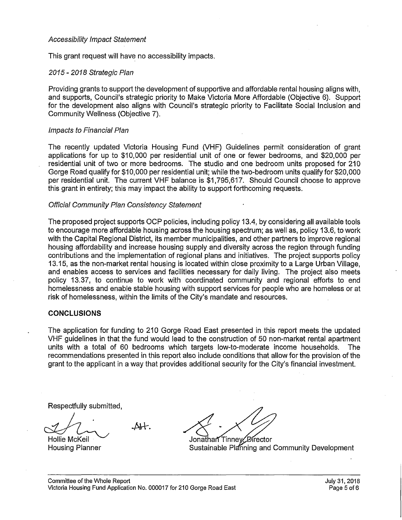#### *Accessibility Impact Statement*

This grant request will have no accessibility impacts.

### *2015 - 2018 Strategic Plan*

Providing grants to support the development of supportive and affordable rental housing aligns with, and supports, Council's strategic priority to Make Victoria More Affordable (Objective 6). Support for the development also aligns with Council's strategic priority to Facilitate Social Inclusion and Community Wellness (Objective 7).

#### *Impacts to Financial Plan*

The recently updated Victoria Housing Fund (VHF) Guidelines permit consideration of grant applications for up to \$10,000 per residential unit of one or fewer bedrooms, and \$20,000 per residential unit of two or more bedrooms. The studio and one bedroom units proposed for 210 Gorge Road qualify for \$10,000 per residential unit; while the two-bedroom units qualify for \$20,000 per residential unit. The current VHF balance is \$1,795,617. Should Council choose to approve this grant in entirety; this may impact the ability to support forthcoming requests.

### *Official Community Plan Consistency Statement •*

The proposed project supports OCP policies, including policy 13.4, by considering all available tools to encourage more affordable housing across the housing spectrum; as well as, policy 13.6, to work with the Capital Regional District, its member municipalities, and other partners to improve regional housing affordability and increase housing supply and diversity across the region through funding contributions and the implementation of regional plans and initiatives. The project supports policy 13.15, as the non-market rental housing is located within close proximity to a Large Urban Village, and enables access to services and facilities necessary for daily living. The project also meets policy 13.37, to continue to work with coordinated community and regional efforts to end homelessness and enable stable housing with support services for people who are homeless or at risk of homelessness, within the limits of the City's mandate and resources. .

# **CONCLUSIONS**

The application for funding to 210 Gorge Road East presented in this report meets the updated VHF guidelines in that the fund would lead to the construction of 50 non-market rental apartment units with a total of 60 bedrooms which targets low-to-moderate income households. The recommendations presented in this report also include conditions that allow for the provision of the grant to the applicant in a way that provides additional security for the City's financial investment.

Respectfully submitted,

 $\Delta +$ . Hollie McKeil

Housing Planner

Jonathan Tinney Director

Sustainable Planning and Community Development